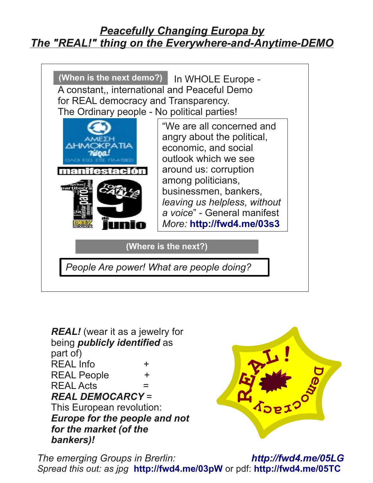## *Peacefully Changing Europa by The "REAL!" thing on the Everywhere-and-Anytime-DEMO*



*REAL!* (wear it as a jewelry for being *publicly identified* as part of) REAL Info  $+$ REAL People  $+$  $REAL \, \, \Delta \, \, \text{Cts}$  = *REAL DEMOCARCY* = This European revolution: *Europe for the people and not for the market (of the bankers)!*



*The emerging Groups in Brerlin: <http://fwd4.me/05LG> Spread this out: as jpg* **<http://fwd4.me/03pW>** or pdf: **<http://fwd4.me/05TC>**